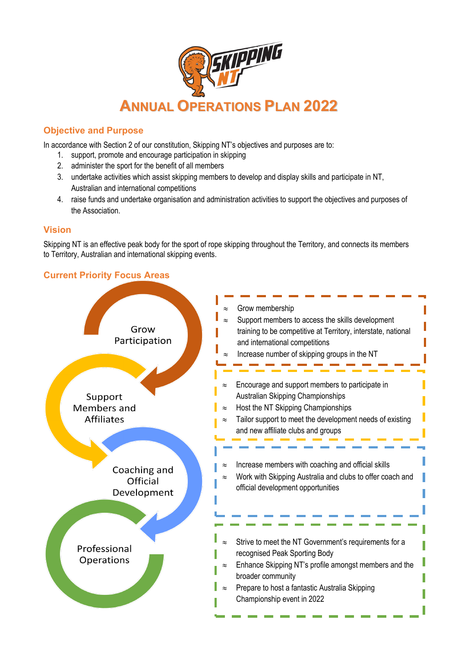

## **Objective and Purpose**

In accordance with Section 2 of our constitution, Skipping NT's objectives and purposes are to:

- 1. support, promote and encourage participation in skipping
- 2. administer the sport for the benefit of all members
- 3. undertake activities which assist skipping members to develop and display skills and participate in NT, Australian and international competitions
- 4. raise funds and undertake organisation and administration activities to support the objectives and purposes of the Association.

## **Vision**

Skipping NT is an effective peak body for the sport of rope skipping throughout the Territory, and connects its members to Territory, Australian and international skipping events.

## **Current Priority Focus Areas**

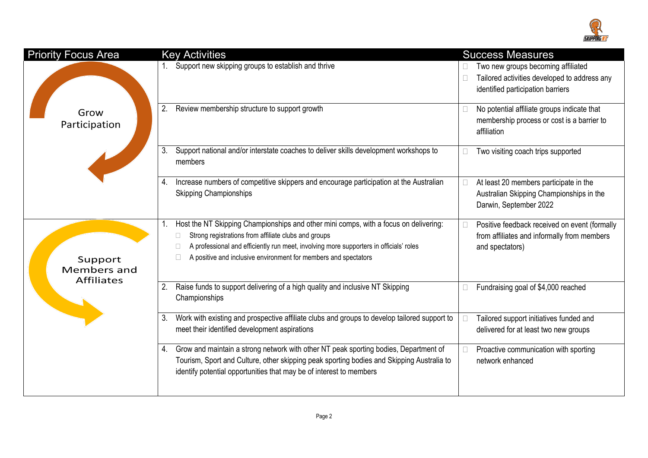

| <b>Priority Focus Area</b>                         | <b>Key Activities</b>                                                                                                                                                                                                                                                                                               | <b>Success Measures</b>                                                                                                 |
|----------------------------------------------------|---------------------------------------------------------------------------------------------------------------------------------------------------------------------------------------------------------------------------------------------------------------------------------------------------------------------|-------------------------------------------------------------------------------------------------------------------------|
| Grow<br>Participation                              | Support new skipping groups to establish and thrive                                                                                                                                                                                                                                                                 | Two new groups becoming affiliated<br>Tailored activities developed to address any<br>identified participation barriers |
|                                                    | Review membership structure to support growth<br>2.                                                                                                                                                                                                                                                                 | No potential affiliate groups indicate that<br>Г<br>membership process or cost is a barrier to<br>affiliation           |
|                                                    | Support national and/or interstate coaches to deliver skills development workshops to<br>3.<br>members                                                                                                                                                                                                              | Two visiting coach trips supported                                                                                      |
|                                                    | Increase numbers of competitive skippers and encourage participation at the Australian<br>4.<br><b>Skipping Championships</b>                                                                                                                                                                                       | At least 20 members participate in the<br>E<br>Australian Skipping Championships in the<br>Darwin, September 2022       |
| Support<br><b>Members and</b><br><b>Affiliates</b> | Host the NT Skipping Championships and other mini comps, with a focus on delivering:<br>Strong registrations from affiliate clubs and groups<br>A professional and efficiently run meet, involving more supporters in officials' roles<br>$\Box$<br>A positive and inclusive environment for members and spectators | Positive feedback received on event (formally<br>E<br>from affiliates and informally from members<br>and spectators)    |
|                                                    | Raise funds to support delivering of a high quality and inclusive NT Skipping<br>2.<br>Championships                                                                                                                                                                                                                | Fundraising goal of \$4,000 reached                                                                                     |
|                                                    | Work with existing and prospective affiliate clubs and groups to develop tailored support to<br>3.<br>meet their identified development aspirations                                                                                                                                                                 | Tailored support initiatives funded and<br>delivered for at least two new groups                                        |
|                                                    | 4. Grow and maintain a strong network with other NT peak sporting bodies, Department of<br>Tourism, Sport and Culture, other skipping peak sporting bodies and Skipping Australia to<br>identify potential opportunities that may be of interest to members                                                         | Proactive communication with sporting<br>network enhanced                                                               |